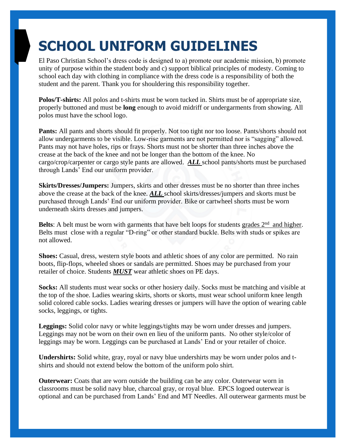## **SCHOOL UNIFORM GUIDELINES**

El Paso Christian School's dress code is designed to a) promote our academic mission, b) promote unity of purpose within the student body and c) support biblical principles of modesty. Coming to school each day with clothing in compliance with the dress code is a responsibility of both the student and the parent. Thank you for shouldering this responsibility together.

**Polos/T-shirts:** All polos and t-shirts must be worn tucked in. Shirts must be of appropriate size, properly buttoned and must be **long** enough to avoid midriff or undergarments from showing. All polos must have the school logo.

**Pants:** All pants and shorts should fit properly. Not too tight nor too loose. Pants/shorts should not allow undergarments to be visible. Low-rise garments are not permitted nor is "sagging" allowed. Pants may not have holes, rips or frays. Shorts must not be shorter than three inches above the crease at the back of the knee and not be longer than the bottom of the knee. No cargo/crop/carpenter or cargo style pants are allowed. *ALL* school pants/shorts must be purchased through Lands' End our uniform provider.

**Skirts/Dresses/Jumpers:** Jumpers, skirts and other dresses must be no shorter than three inches above the crease at the back of the knee. *ALL* school skirts/dresses/jumpers and skorts must be purchased through Lands' End our uniform provider. Bike or cartwheel shorts must be worn underneath skirts dresses and jumpers.

Belts: A belt must be worn with garments that have belt loops for students grades 2<sup>nd</sup> and higher. Belts must close with a regular "D-ring" or other standard buckle. Belts with studs or spikes are not allowed.

**Shoes:** Casual, dress, western style boots and athletic shoes of any color are permitted. No rain boots, flip-flops, wheeled shoes or sandals are permitted. Shoes may be purchased from your retailer of choice. Students *MUST* wear athletic shoes on PE days.

**Socks:** All students must wear socks or other hosiery daily. Socks must be matching and visible at the top of the shoe. Ladies wearing skirts, shorts or skorts, must wear school uniform knee length solid colored cable socks. Ladies wearing dresses or jumpers will have the option of wearing cable socks, leggings, or tights.

**Leggings:** Solid color navy or white leggings/tights may be worn under dresses and jumpers. Leggings may not be worn on their own en lieu of the uniform pants. No other style/color of leggings may be worn. Leggings can be purchased at Lands' End or your retailer of choice.

**Undershirts:** Solid white, gray, royal or navy blue undershirts may be worn under polos and tshirts and should not extend below the bottom of the uniform polo shirt.

**Outerwear:** Coats that are worn outside the building can be any color. Outerwear worn in classrooms must be solid navy blue, charcoal gray, or royal blue. EPCS logoed outerwear is optional and can be purchased from Lands' End and MT Needles. All outerwear garments must be